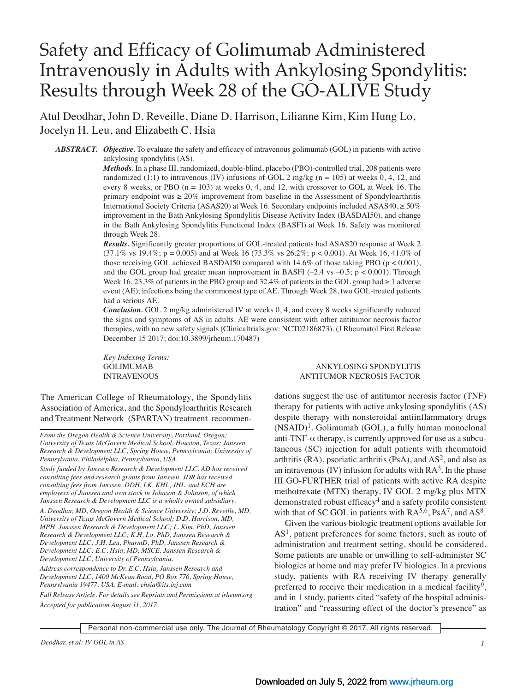# Safety and Efficacy of Golimumab Administered Intravenously in Adults with Ankylosing Spondylitis: Results through Week 28 of the GO-ALIVE Study

Atul Deodhar, John D. Reveille, Diane D. Harrison, Lilianne Kim, Kim Hung Lo, Jocelyn H. Leu, and Elizabeth C. Hsia

*ABSTRACT. Objective.* To evaluate the safety and efficacy of intravenous golimumab (GOL) in patients with active ankylosing spondylitis (AS).

> *Methods.* In a phase III, randomized, double-blind, placebo (PBO)-controlled trial, 208 patients were randomized  $(1:1)$  to intravenous (IV) infusions of GOL 2 mg/kg (n = 105) at weeks 0, 4, 12, and every 8 weeks, or PBO  $(n = 103)$  at weeks 0, 4, and 12, with crossover to GOL at Week 16. The primary endpoint was  $\geq 20\%$  improvement from baseline in the Assessment of Spondyloarthritis International Society Criteria (ASAS20) at Week 16. Secondary endpoints included ASAS40, ≥ 50% improvement in the Bath Ankylosing Spondylitis Disease Activity Index (BASDAI50), and change in the Bath Ankylosing Spondylitis Functional Index (BASFI) at Week 16. Safety was monitored through Week 28.

> *Results.* Significantly greater proportions of GOL-treated patients had ASAS20 response at Week 2  $(37.1\% \text{ vs } 19.4\%; \text{ p} = 0.005)$  and at Week 16  $(73.3\% \text{ vs } 26.2\%; \text{ p} < 0.001)$ . At Week 16, 41.0% of those receiving GOL achieved BASDAI50 compared with  $14.6\%$  of those taking PBO (p < 0.001), and the GOL group had greater mean improvement in BASFI  $(-2.4 \text{ vs } -0.5; \text{ p } < 0.001)$ . Through Week 16, 23.3% of patients in the PBO group and 32.4% of patients in the GOL group had  $\geq 1$  adverse event (AE); infections being the commonest type of AE. Through Week 28, two GOL-treated patients had a serious AE.

> *Conclusion.* GOL 2 mg/kg administered IV at weeks 0, 4, and every 8 weeks significantly reduced the signs and symptoms of AS in adults. AE were consistent with other antitumor necrosis factor therapies, with no new safety signals (Clinicaltrials.gov: NCT02186873). (J Rheumatol First Release December 15 2017; doi:10.3899/jrheum.170487)

 *Key Indexing Terms:* 

The American College of Rheumatology, the Spondylitis Association of America, and the Spondyloarthritis Research and Treatment Network (SPARTAN) treatment recommen-

*From the Oregon Health & Science University, Portland, Oregon; University of Texas McGovern Medical School, Houston, Texas; Janssen Research & Development LLC, Spring House, Pennsylvania; University of Pennsylvania, Philadelphia, Pennsylvania, USA.*

*Study funded by Janssen Research & Development LLC. AD has received consulting fees and research grants from Janssen. JDR has received consulting fees from Janssen. DDH, LK, KHL, JHL, and ECH are employees of Janssen and own stock in Johnson & Johnson, of which Janssen Research & Development LLC is a wholly owned subsidiary.* 

*A. Deodhar, MD, Oregon Health & Science University; J.D. Reveille, MD, University of Texas McGovern Medical School; D.D. Harrison, MD, MPH, Janssen Research & Development LLC; L. Kim, PhD, Janssen Research & Development LLC; K.H. Lo, PhD, Janssen Research & Development LLC; J.H. Leu, PharmD, PhD, Janssen Research & Development LLC; E.C. Hsia, MD, MSCE, Janssen Research & Development LLC, University of Pennsylvania.* 

*Address correspondence to Dr. E.C. Hsia, Janssen Research and Development LLC, 1400 McKean Road, PO Box 776, Spring House, Pennsylvania 19477, USA. E-mail: ehsia@its.jnj.com*

*Full Release Article. For details see Reprints and Permissions at jrheum.org Accepted for publication August 11, 2017.*

#### GOLIMUMAB ANKYLOSING SPONDYLITIS INTRAVENOUS ANTITUMOR NECROSIS FACTOR

dations suggest the use of antitumor necrosis factor (TNF) therapy for patients with active ankylosing spondylitis (AS) despite therapy with nonsteroidal antiinflammatory drugs  $(NSAID)^1$ . Golimumab (GOL), a fully human monoclonal anti-TNF- $\alpha$  therapy, is currently approved for use as a subcutaneous (SC) injection for adult patients with rheumatoid arthritis (RA), psoriatic arthritis (PsA), and  $AS<sup>2</sup>$ , and also as an intravenous  $(IV)$  infusion for adults with  $RA<sup>3</sup>$ . In the phase III GO-FURTHER trial of patients with active RA despite methotrexate (MTX) therapy, IV GOL 2 mg/kg plus MTX demonstrated robust efficacy<sup>4</sup> and a safety profile consistent with that of SC GOL in patients with  $RA^{5,6}$ , PsA<sup>7</sup>, and AS<sup>8</sup>.

 Given the various biologic treatment options available for  $AS<sup>1</sup>$ , patient preferences for some factors, such as route of administration and treatment setting, should be considered. Some patients are unable or unwilling to self-administer SC biologics at home and may prefer IV biologics. In a previous study, patients with RA receiving IV therapy generally preferred to receive their medication in a medical facility<sup>9</sup>, and in 1 study, patients cited "safety of the hospital administration" and "reassuring effect of the doctor's presence" as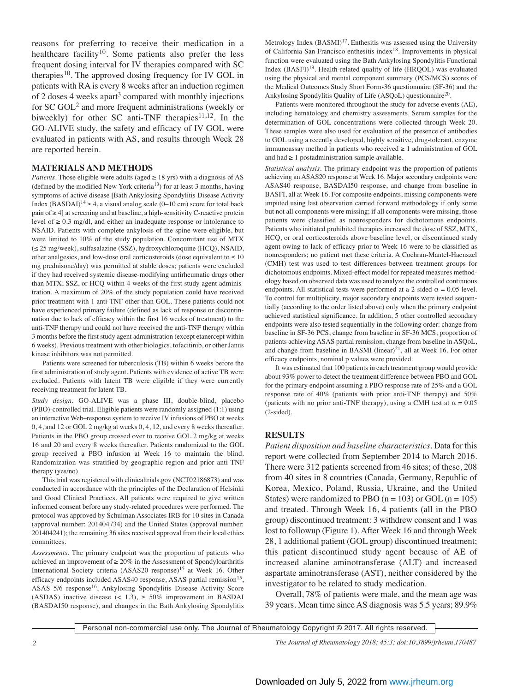reasons for preferring to receive their medication in a healthcare facility<sup>10</sup>. Some patients also prefer the less frequent dosing interval for IV therapies compared with SC therapies $10$ . The approved dosing frequency for IV GOL in patients with RA is every 8 weeks after an induction regimen of 2 doses 4 weeks apart<sup>3</sup> compared with monthly injections for SC GOL2 and more frequent administrations (weekly or biweekly) for other SC anti-TNF therapies<sup>11,12</sup>. In the GO-ALIVE study, the safety and efficacy of IV GOL were evaluated in patients with AS, and results through Week 28 are reported herein.

### **MATERIALS AND METHODS**

*Patients*. Those eligible were adults (aged  $\geq$  18 yrs) with a diagnosis of AS (defined by the modified New York criteria13) for at least 3 months, having symptoms of active disease [Bath Ankylosing Spondylitis Disease Activity Index (BASDAI)<sup>14</sup>  $\geq$  4, a visual analog scale (0–10 cm) score for total back pain of ≥ 4] at screening and at baseline, a high-sensitivity C-reactive protein level of ≥ 0.3 mg/dl, and either an inadequate response or intolerance to NSAID. Patients with complete ankylosis of the spine were eligible, but were limited to 10% of the study population. Concomitant use of MTX (≤ 25 mg/week), sulfasalazine (SSZ), hydroxychloroquine (HCQ), NSAID, other analgesics, and low-dose oral corticosteroids (dose equivalent to  $\leq 10$ mg prednisone/day) was permitted at stable doses; patients were excluded if they had received systemic disease-modifying antirheumatic drugs other than MTX, SSZ, or HCQ within 4 weeks of the first study agent administration. A maximum of 20% of the study population could have received prior treatment with 1 anti-TNF other than GOL. These patients could not have experienced primary failure (defined as lack of response or discontinuation due to lack of efficacy within the first 16 weeks of treatment) to the anti-TNF therapy and could not have received the anti-TNF therapy within 3 months before the first study agent administration (except etanercept within 6 weeks). Previous treatment with other biologics, tofacitinib, or other Janus kinase inhibitors was not permitted.

 Patients were screened for tuberculosis (TB) within 6 weeks before the first administration of study agent. Patients with evidence of active TB were excluded. Patients with latent TB were eligible if they were currently receiving treatment for latent TB.

*Study design.* GO-ALIVE was a phase III, double-blind, placebo (PBO)-controlled trial. Eligible patients were randomly assigned (1:1) using an interactive Web–response system to receive IV infusions of PBO at weeks 0, 4, and 12 or GOL 2 mg/kg at weeks 0, 4, 12, and every 8 weeks thereafter. Patients in the PBO group crossed over to receive GOL 2 mg/kg at weeks 16 and 20 and every 8 weeks thereafter. Patients randomized to the GOL group received a PBO infusion at Week 16 to maintain the blind. Randomization was stratified by geographic region and prior anti-TNF therapy (yes/no).

 This trial was registered with clinicaltrials.gov (NCT02186873) and was conducted in accordance with the principles of the Declaration of Helsinki and Good Clinical Practices. All patients were required to give written informed consent before any study-related procedures were performed. The protocol was approved by Schulman Associates IRB for 10 sites in Canada (approval number: 201404734) and the United States (approval number: 201404241); the remaining 36 sites received approval from their local ethics committees.

*Assessments.* The primary endpoint was the proportion of patients who achieved an improvement of  $\geq 20\%$  in the Assessment of Spondyloarthritis International Society criteria (ASAS20 response)<sup>15</sup> at Week 16. Other efficacy endpoints included ASAS40 response, ASAS partial remission<sup>15</sup>, ASAS 5/6 response16, Ankylosing Spondylitis Disease Activity Score (ASDAS) inactive disease  $(< 1.3)$ ,  $\geq 50\%$  improvement in BASDAI (BASDAI50 response), and changes in the Bath Ankylosing Spondylitis Metrology Index (BASMI)<sup>17</sup>. Enthesitis was assessed using the University of California San Francisco enthesitis index18. Improvements in physical function were evaluated using the Bath Ankylosing Spondylitis Functional Index  $(BASTI)<sup>19</sup>$ . Health-related quality of life (HRQOL) was evaluated using the physical and mental component summary (PCS/MCS) scores of the Medical Outcomes Study Short Form-36 questionnaire (SF-36) and the Ankylosing Spondylitis Quality of Life (ASQoL) questionnaire20.

 Patients were monitored throughout the study for adverse events (AE), including hematology and chemistry assessments. Serum samples for the determination of GOL concentrations were collected through Week 20. These samples were also used for evaluation of the presence of antibodies to GOL using a recently developed, highly sensitive, drug-tolerant, enzyme immunoassay method in patients who received ≥ 1 administration of GOL and had  $\geq 1$  postadministration sample available.

*Statistical analysis.* The primary endpoint was the proportion of patients achieving an ASAS20 response at Week 16. Major secondary endpoints were ASAS40 response, BASDAI50 response, and change from baseline in BASFI, all at Week 16. For composite endpoints, missing components were imputed using last observation carried forward methodology if only some but not all components were missing; if all components were missing, those patients were classified as nonresponders for dichotomous endpoints. Patients who initiated prohibited therapies increased the dose of SSZ, MTX, HCQ, or oral corticosteroids above baseline level, or discontinued study agent owing to lack of efficacy prior to Week 16 were to be classified as nonresponders; no patient met these criteria. A Cochran-Mantel-Haenszel (CMH) test was used to test differences between treatment groups for dichotomous endpoints. Mixed-effect model for repeated measures methodology based on observed data was used to analyze the controlled continuous endpoints. All statistical tests were performed at a 2-sided  $\alpha = 0.05$  level. To control for multiplicity, major secondary endpoints were tested sequentially (according to the order listed above) only when the primary endpoint achieved statistical significance. In addition, 5 other controlled secondary endpoints were also tested sequentially in the following order: change from baseline in SF-36 PCS, change from baseline in SF-36 MCS, proportion of patients achieving ASAS partial remission, change from baseline in ASQoL, and change from baseline in BASMI (linear) $^{21}$ , all at Week 16. For other efficacy endpoints, nominal p values were provided.

 It was estimated that 100 patients in each treatment group would provide about 93% power to detect the treatment difference between PBO and GOL for the primary endpoint assuming a PBO response rate of 25% and a GOL response rate of 40% (patients with prior anti-TNF therapy) and 50% (patients with no prior anti-TNF therapy), using a CMH test at  $\alpha = 0.05$ (2-sided).

## **RESULTS**

*Patient disposition and baseline characteristics*. Data for this report were collected from September 2014 to March 2016. There were 312 patients screened from 46 sites; of these, 208 from 40 sites in 8 countries (Canada, Germany, Republic of Korea, Mexico, Poland, Russia, Ukraine, and the United States) were randomized to PBO ( $n = 103$ ) or GOL ( $n = 105$ ) and treated. Through Week 16, 4 patients (all in the PBO group) discontinued treatment: 3 withdrew consent and 1 was lost to followup (Figure 1). After Week 16 and through Week 28, 1 additional patient (GOL group) discontinued treatment; this patient discontinued study agent because of AE of increased alanine aminotransferase (ALT) and increased aspartate aminotransferase (AST), neither considered by the investigator to be related to study medication.

 Overall, 78% of patients were male, and the mean age was 39 years. Mean time since AS diagnosis was 5.5 years; 89.9%

Personal non-commercial use only. The Journal of Rheumatology Copyright © 2017. All rights reserved.

*2 The Journal of Rheumatology 2018; 45:3; doi:10.3899/jrheum.170487*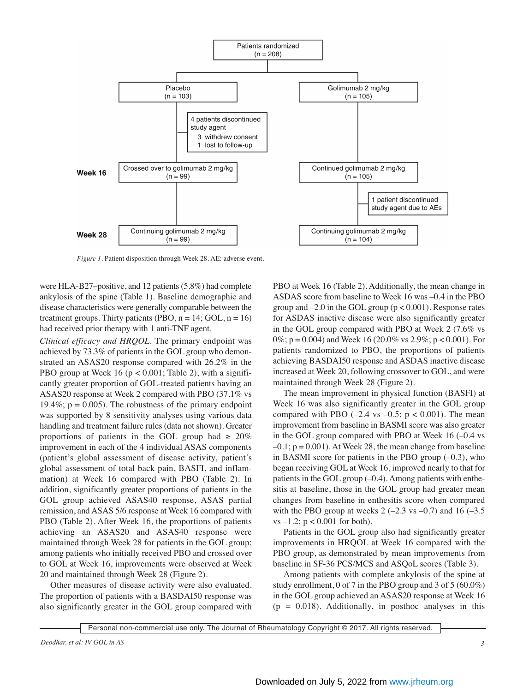

*Figure 1.* Patient disposition through Week 28. AE: adverse event.

were HLA-B27–positive, and 12 patients (5.8%) had complete ankylosis of the spine (Table 1). Baseline demographic and disease characteristics were generally comparable between the treatment groups. Thirty patients (PBO,  $n = 14$ ; GOL,  $n = 16$ ) had received prior therapy with 1 anti-TNF agent.

*Clinical efficacy and HRQOL.* The primary endpoint was achieved by 73.3% of patients in the GOL group who demonstrated an ASAS20 response compared with 26.2% in the PBO group at Week 16 ( $p < 0.001$ ; Table 2), with a significantly greater proportion of GOL-treated patients having an ASAS20 response at Week 2 compared with PBO (37.1% vs 19.4%;  $p = 0.005$ ). The robustness of the primary endpoint was supported by 8 sensitivity analyses using various data handling and treatment failure rules (data not shown). Greater proportions of patients in the GOL group had  $\geq 20\%$ improvement in each of the 4 individual ASAS components (patient's global assessment of disease activity, patient's global assessment of total back pain, BASFI, and inflammation) at Week 16 compared with PBO (Table 2). In addition, significantly greater proportions of patients in the GOL group achieved ASAS40 response, ASAS partial remission, and ASAS 5/6 response at Week 16 compared with PBO (Table 2). After Week 16, the proportions of patients achieving an ASAS20 and ASAS40 response were maintained through Week 28 for patients in the GOL group; among patients who initially received PBO and crossed over to GOL at Week 16, improvements were observed at Week 20 and maintained through Week 28 (Figure 2).

 Other measures of disease activity were also evaluated. The proportion of patients with a BASDAI50 response was also significantly greater in the GOL group compared with PBO at Week 16 (Table 2). Additionally, the mean change in ASDAS score from baseline to Week 16 was –0.4 in the PBO group and  $-2.0$  in the GOL group ( $p < 0.001$ ). Response rates for ASDAS inactive disease were also significantly greater in the GOL group compared with PBO at Week 2 (7.6% vs 0%;  $p = 0.004$ ) and Week 16 (20.0% vs 2.9%;  $p < 0.001$ ). For patients randomized to PBO, the proportions of patients achieving BASDAI50 response and ASDAS inactive disease increased at Week 20, following crossover to GOL, and were maintained through Week 28 (Figure 2).

 The mean improvement in physical function (BASFI) at Week 16 was also significantly greater in the GOL group compared with PBO  $(-2.4 \text{ vs } -0.5; \text{ p } < 0.001)$ . The mean improvement from baseline in BASMI score was also greater in the GOL group compared with PBO at Week  $16$  ( $-0.4$  vs  $-0.1$ ;  $p = 0.001$ ). At Week 28, the mean change from baseline in BASMI score for patients in the PBO group  $(-0.3)$ , who began receiving GOL at Week 16, improved nearly to that for patients in the GOL group  $(-0.4)$ . Among patients with enthesitis at baseline, those in the GOL group had greater mean changes from baseline in enthesitis score when compared with the PBO group at weeks  $2$  (-2.3 vs -0.7) and 16 (-3.5) vs  $-1.2$ ;  $p < 0.001$  for both).

 Patients in the GOL group also had significantly greater improvements in HRQOL at Week 16 compared with the PBO group, as demonstrated by mean improvements from baseline in SF-36 PCS/MCS and ASQoL scores (Table 3).

 Among patients with complete ankylosis of the spine at study enrollment, 0 of 7 in the PBO group and 3 of 5 (60.0%) in the GOL group achieved an ASAS20 response at Week 16  $= 0.018$ ). Additionally, in posthoc analyses in this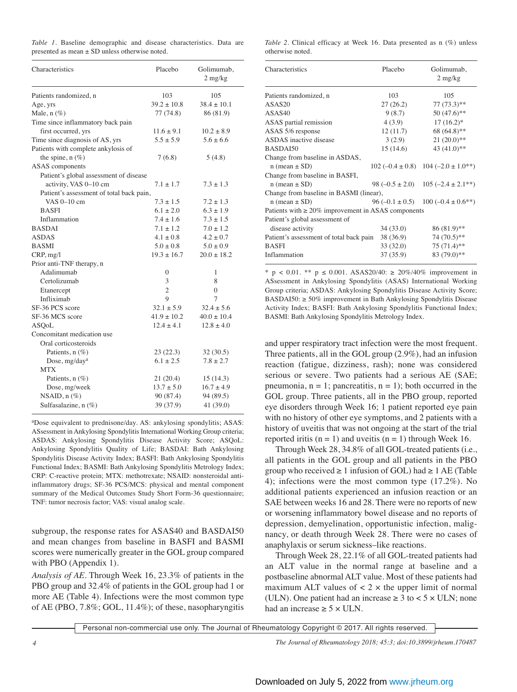|  |                                                    |  | Table 1. Baseline demographic and disease characteristics. Data are |  |
|--|----------------------------------------------------|--|---------------------------------------------------------------------|--|
|  | presented as mean $\pm$ SD unless otherwise noted. |  |                                                                     |  |

| Characteristics                          | Placebo         | Golimumab,<br>$2$ mg/kg |
|------------------------------------------|-----------------|-------------------------|
| Patients randomized, n                   | 103             | 105                     |
| Age, yrs                                 | $39.2 \pm 10.8$ | $38.4 \pm 10.1$         |
| Male, $n$ (%)                            | 77 (74.8)       | 86 (81.9)               |
| Time since inflammatory back pain        |                 |                         |
| first occurred, yrs                      | $11.6 \pm 9.1$  | $10.2 \pm 8.9$          |
| Time since diagnosis of AS, yrs          | $5.5 \pm 5.9$   | $5.6 \pm 6.6$           |
| Patients with complete ankylosis of      |                 |                         |
| the spine, $n$ $(\%)$                    | 7(6.8)          | 5(4.8)                  |
| <b>ASAS</b> components                   |                 |                         |
| Patient's global assessment of disease   |                 |                         |
| activity, VAS 0-10 cm                    | $7.1 \pm 1.7$   | $7.3 \pm 1.3$           |
| Patient's assessment of total back pain, |                 |                         |
| VAS 0-10 cm                              | $7.3 \pm 1.5$   | $7.2 \pm 1.3$           |
| <b>BASFI</b>                             | $6.1 \pm 2.0$   | $6.3 \pm 1.9$           |
| Inflammation                             | $7.4 \pm 1.6$   | $7.3 \pm 1.5$           |
| <b>BASDAI</b>                            | $7.1 \pm 1.2$   | $7.0 \pm 1.2$           |
| <b>ASDAS</b>                             | $4.1 \pm 0.8$   | $4.2 \pm 0.7$           |
| <b>BASMI</b>                             | $5.0 \pm 0.8$   | $5.0 \pm 0.9$           |
| CRP, mg/l                                | $19.3 \pm 16.7$ | $20.0 \pm 18.2$         |
| Prior anti-TNF therapy, n                |                 |                         |
| Adalimumab                               | 0               | 1                       |
| Certolizumab                             | 3               | 8                       |
| Etanercept                               | $\overline{2}$  | $\theta$                |
| Infliximab                               | $\mathbf Q$     | 7                       |
| SF-36 PCS score                          | $32.1 \pm 5.9$  | $32.4 \pm 5.6$          |
| SF-36 MCS score                          | $41.9 \pm 10.2$ | $40.0 \pm 10.4$         |
| <b>ASQoL</b>                             | $12.4 \pm 4.1$  | $12.8 \pm 4.0$          |
| Concomitant medication use               |                 |                         |
| Oral corticosteroids                     |                 |                         |
| Patients, $n$ (%)                        | 23(22.3)        | 32(30.5)                |
| Dose, mg/day <sup>a</sup>                | $6.1 \pm 2.5$   | $7.8 \pm 2.7$           |
| <b>MTX</b>                               |                 |                         |
| Patients, $n$ (%)                        | 21(20.4)        | 15(14.3)                |
| Dose, mg/week                            | $13.7 \pm 5.0$  | $16.7 \pm 4.9$          |
| NSAID, $n$ $(\%)$                        | 90 (87.4)       | 94 (89.5)               |
| Sulfasalazine, $n$ $(\%)$                | 39 (37.9)       | 41 (39.0)               |

aDose equivalent to prednisone/day. AS: ankylosing spondylitis; ASAS: ASsessment in Ankylosing Spondylitis International Working Group criteria; ASDAS: Ankylosing Spondylitis Disease Activity Score; ASQoL: Ankylosing Spondylitis Quality of Life; BASDAI: Bath Ankylosing Spondylitis Disease Activity Index; BASFI: Bath Ankylosing Spondylitis Functional Index; BASMI: Bath Ankylosing Spondylitis Metrology Index; CRP: C-reactive protein; MTX: methotrexate; NSAID: nonsteroidal antiinflammatory drugs; SF-36 PCS/MCS: physical and mental component summary of the Medical Outcomes Study Short Form-36 questionnaire; TNF: tumor necrosis factor; VAS: visual analog scale.

subgroup, the response rates for ASAS40 and BASDAI50 and mean changes from baseline in BASFI and BASMI scores were numerically greater in the GOL group compared with PBO (Appendix 1).

*Analysis of AE.* Through Week 16, 23.3% of patients in the PBO group and 32.4% of patients in the GOL group had 1 or more AE (Table 4). Infections were the most common type of AE (PBO, 7.8%; GOL, 11.4%); of these, nasopharyngitis

*Table 2.* Clinical efficacy at Week 16. Data presented as n (%) unless otherwise noted.

| Characteristics                                          | Placebo   | Golimumab,<br>$2 \text{ mg/kg}$                |  |  |
|----------------------------------------------------------|-----------|------------------------------------------------|--|--|
| Patients randomized, n                                   | 103       | 105                                            |  |  |
| ASAS20                                                   | 27(26.2)  | $77(73.3)$ **                                  |  |  |
| ASAS40                                                   | 9(8.7)    | $50(47.6)$ **                                  |  |  |
| ASAS partial remission                                   | 4(3.9)    | $17(16.2)^*$                                   |  |  |
| ASAS 5/6 response                                        | 12(11.7)  | 68 (64.8)**                                    |  |  |
| <b>ASDAS</b> inactive disease                            | 3(2.9)    | $21(20.0)*$                                    |  |  |
| BASDAI50                                                 | 15(14.6)  | 43 $(41.0)*$                                   |  |  |
| Change from baseline in ASDAS,                           |           |                                                |  |  |
| $n$ (mean $\pm$ SD)                                      |           | $102 (-0.4 \pm 0.8)$ 104 $(-2.0 \pm 1.0^{**})$ |  |  |
| Change from baseline in BASFI,                           |           |                                                |  |  |
| $n$ (mean $\pm$ SD)                                      |           | 98 $(-0.5 \pm 2.0)$ 105 $(-2.4 \pm 2.1^{**})$  |  |  |
| Change from baseline in BASMI (linear),                  |           |                                                |  |  |
| $n$ (mean $\pm$ SD)                                      |           | $96 (-0.1 \pm 0.5)$ $100 (-0.4 \pm 0.6**)$     |  |  |
| Patients with $\geq 20\%$ improvement in ASAS components |           |                                                |  |  |
| Patient's global assessment of                           |           |                                                |  |  |
| disease activity                                         | 34(33.0)  | 86 (81.9)**                                    |  |  |
| Patient's assessment of total back pain                  | 38 (36.9) | 74 (70.5)**                                    |  |  |
| <b>BASEI</b>                                             | 33 (32.0) | 75 (71.4)**                                    |  |  |
| Inflammation                                             | 37(35.9)  | 83 (79.0)**                                    |  |  |

\* p < 0.01. \*\* p ≤ 0.001. ASAS20/40: ≥ 20%/40% improvement in ASsessment in Ankylosing Spondylitis (ASAS) International Working Group criteria; ASDAS: Ankylosing Spondylitis Disease Activity Score; BASDAI50:  $\geq$  50% improvement in Bath Ankylosing Spondylitis Disease Activity Index; BASFI: Bath Ankylosing Spondylitis Functional Index; BASMI: Bath Ankylosing Spondylitis Metrology Index.

and upper respiratory tract infection were the most frequent. Three patients, all in the GOL group (2.9%), had an infusion reaction (fatigue, dizziness, rash); none was considered serious or severe. Two patients had a serious AE (SAE; pneumonia,  $n = 1$ ; pancreatitis,  $n = 1$ ; both occurred in the GOL group. Three patients, all in the PBO group, reported eye disorders through Week 16; 1 patient reported eye pain with no history of other eye symptoms, and 2 patients with a history of uveitis that was not ongoing at the start of the trial reported iritis  $(n = 1)$  and uveitis  $(n = 1)$  through Week 16.

 Through Week 28, 34.8% of all GOL-treated patients (i.e., all patients in the GOL group and all patients in the PBO group who received  $\geq 1$  infusion of GOL) had  $\geq 1$  AE (Table 4); infections were the most common type (17.2%). No additional patients experienced an infusion reaction or an SAE between weeks 16 and 28. There were no reports of new or worsening inflammatory bowel disease and no reports of depression, demyelination, opportunistic infection, malignancy, or death through Week 28. There were no cases of anaphylaxis or serum sickness–like reactions.

 Through Week 28, 22.1% of all GOL-treated patients had an ALT value in the normal range at baseline and a postbaseline abnormal ALT value. Most of these patients had maximum ALT values of  $\lt 2 \times$  the upper limit of normal (ULN). One patient had an increase  $\geq 3$  to  $\lt 5 \times$  ULN; none had an increase  $\geq 5 \times \text{ULN}$ .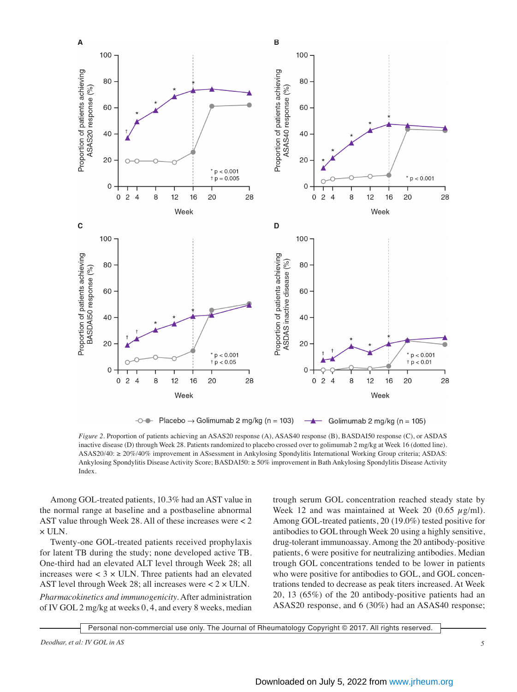

 $-0$  - Placebo  $\rightarrow$  Golimumab 2 mg/kg (n = 103) Golimumab 2 mg/kg ( $n = 105$ )  $\rightarrow$ 

*Figure 2.* Proportion of patients achieving an ASAS20 response (A), ASAS40 response (B), BASDAI50 response (C), or ASDAS inactive disease (D) through Week 28. Patients randomized to placebo crossed over to golimumab 2 mg/kg at Week 16 (dotted line). ASAS20/40: ≥ 20%/40% improvement in ASsessment in Ankylosing Spondylitis International Working Group criteria; ASDAS: Ankylosing Spondylitis Disease Activity Score; BASDAI50: ≥ 50% improvement in Bath Ankylosing Spondylitis Disease Activity Index.

 Among GOL-treated patients, 10.3% had an AST value in the normal range at baseline and a postbaseline abnormal AST value through Week 28. All of these increases were < 2 × ULN.

 Twenty-one GOL-treated patients received prophylaxis for latent TB during the study; none developed active TB. One-third had an elevated ALT level through Week 28; all increases were  $<$  3  $\times$  ULN. Three patients had an elevated AST level through Week 28; all increases were  $< 2 \times$  ULN. *Pharmacokinetics and immunogenicity.* After administration

of IV GOL 2 mg/kg at weeks 0, 4, and every 8 weeks, median

trough serum GOL concentration reached steady state by Week 12 and was maintained at Week 20 (0.65  $\mu$ g/ml). Among GOL-treated patients, 20 (19.0%) tested positive for antibodies to GOL through Week 20 using a highly sensitive, drug-tolerant immunoassay. Among the 20 antibody-positive patients, 6 were positive for neutralizing antibodies. Median trough GOL concentrations tended to be lower in patients who were positive for antibodies to GOL, and GOL concentrations tended to decrease as peak titers increased. At Week 20, 13 (65%) of the 20 antibody-positive patients had an ASAS20 response, and 6 (30%) had an ASAS40 response;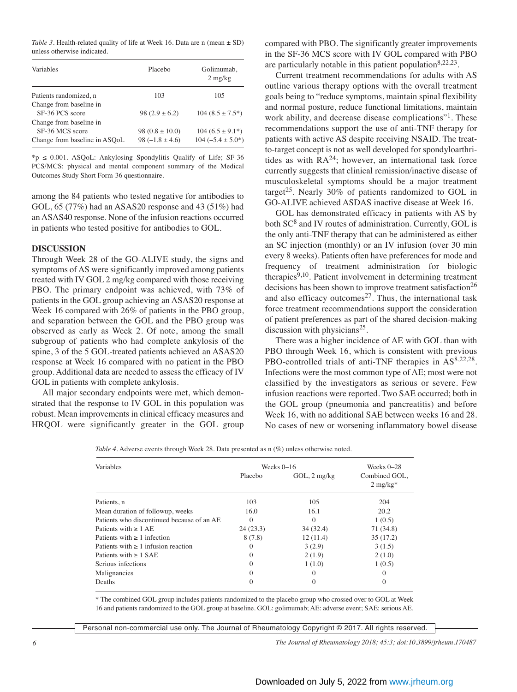*Table 3.* Health-related quality of life at Week 16. Data are n (mean  $\pm$  SD) unless otherwise indicated.

| Variables                                  | Placebo             | Golimumab.<br>$2 \text{ mg/kg}$ |
|--------------------------------------------|---------------------|---------------------------------|
| Patients randomized, n                     | 103                 | 105                             |
| Change from baseline in<br>SF-36 PCS score | $98(2.9 \pm 6.2)$   | $104(8.5 \pm 7.5^*)$            |
| Change from baseline in<br>SF-36 MCS score | $98(0.8 \pm 10.0)$  | $104 (6.5 \pm 9.1^*)$           |
| Change from baseline in ASOoL              | $98 (-1.8 \pm 4.6)$ | $104 (-5.4 \pm 5.0^*)$          |

\*p ≤ 0.001. ASQoL: Ankylosing Spondylitis Qualify of Life; SF-36 PCS/MCS: physical and mental component summary of the Medical Outcomes Study Short Form-36 questionnaire.

among the 84 patients who tested negative for antibodies to GOL, 65 (77%) had an ASAS20 response and 43 (51%) had an ASAS40 response. None of the infusion reactions occurred in patients who tested positive for antibodies to GOL.

#### **DISCUSSION**

Through Week 28 of the GO-ALIVE study, the signs and symptoms of AS were significantly improved among patients treated with IV GOL 2 mg/kg compared with those receiving PBO. The primary endpoint was achieved, with 73% of patients in the GOL group achieving an ASAS20 response at Week 16 compared with 26% of patients in the PBO group, and separation between the GOL and the PBO group was observed as early as Week 2. Of note, among the small subgroup of patients who had complete ankylosis of the spine, 3 of the 5 GOL-treated patients achieved an ASAS20 response at Week 16 compared with no patient in the PBO group. Additional data are needed to assess the efficacy of IV GOL in patients with complete ankylosis.

 All major secondary endpoints were met, which demonstrated that the response to IV GOL in this population was robust. Mean improvements in clinical efficacy measures and HRQOL were significantly greater in the GOL group compared with PBO. The significantly greater improvements in the SF-36 MCS score with IV GOL compared with PBO are particularly notable in this patient population  $8,22,23$ .

 Current treatment recommendations for adults with AS outline various therapy options with the overall treatment goals being to "reduce symptoms, maintain spinal flexibility and normal posture, reduce functional limitations, maintain work ability, and decrease disease complications"<sup>1</sup>. These recommendations support the use of anti-TNF therapy for patients with active AS despite receiving NSAID. The treatto-target concept is not as well developed for spondyloarthritides as with  $RA^{24}$ ; however, an international task force currently suggests that clinical remission/inactive disease of musculoskeletal symptoms should be a major treatment target<sup>25</sup>. Nearly 30% of patients randomized to GOL in GO-ALIVE achieved ASDAS inactive disease at Week 16.

 GOL has demonstrated efficacy in patients with AS by both SC<sup>8</sup> and IV routes of administration. Currently, GOL is the only anti-TNF therapy that can be administered as either an SC injection (monthly) or an IV infusion (over 30 min every 8 weeks). Patients often have preferences for mode and frequency of treatment administration for biologic therapies<sup>9,10</sup>. Patient involvement in determining treatment decisions has been shown to improve treatment satisfaction<sup>26</sup> and also efficacy outcomes<sup>27</sup>. Thus, the international task force treatment recommendations support the consideration of patient preferences as part of the shared decision-making discussion with physicians<sup>25</sup>.

 There was a higher incidence of AE with GOL than with PBO through Week 16, which is consistent with previous PBO-controlled trials of anti-TNF therapies in  $AS^{8,22,28}$ . Infections were the most common type of AE; most were not classified by the investigators as serious or severe. Few infusion reactions were reported. Two SAE occurred; both in the GOL group (pneumonia and pancreatitis) and before Week 16, with no additional SAE between weeks 16 and 28. No cases of new or worsening inflammatory bowel disease

*Table 4.* Adverse events through Week 28. Data presented as n  $(\%)$  unless otherwise noted.

| Variables                                  | Weeks $0-16$ | Weeks $0-28$              |                             |
|--------------------------------------------|--------------|---------------------------|-----------------------------|
|                                            | Placebo      | $GOL$ , $2 \frac{mg}{kg}$ | Combined GOL,<br>$2$ mg/kg* |
| Patients, n                                | 103          | 105                       | 204                         |
| Mean duration of followup, weeks           | 16.0         | 16.1                      | 20.2                        |
| Patients who discontinued because of an AE | $\Omega$     | $\Omega$                  | 1(0.5)                      |
| Patients with $\geq 1$ AE                  | 24(23.3)     | 34 (32.4)                 | 71 (34.8)                   |
| Patients with $\geq 1$ infection           | 8(7.8)       | 12(11.4)                  | 35(17.2)                    |
| Patients with $\geq 1$ infusion reaction   | $\Omega$     | 3(2.9)                    | 3(1.5)                      |
| Patients with $\geq 1$ SAE                 | $\Omega$     | 2(1.9)                    | 2(1.0)                      |
| Serious infections                         | $\Omega$     | 1(1.0)                    | 1(0.5)                      |
| Malignancies                               | $\Omega$     | $\left( \right)$          | 0                           |
| Deaths                                     | $\Omega$     |                           |                             |

\* The combined GOL group includes patients randomized to the placebo group who crossed over to GOL at Week 16 and patients randomized to the GOL group at baseline. GOL: golimumab; AE: adverse event; SAE: serious AE.

Personal non-commercial use only. The Journal of Rheumatology Copyright © 2017. All rights reserved.

*6 The Journal of Rheumatology 2018; 45:3; doi:10.3899/jrheum.170487*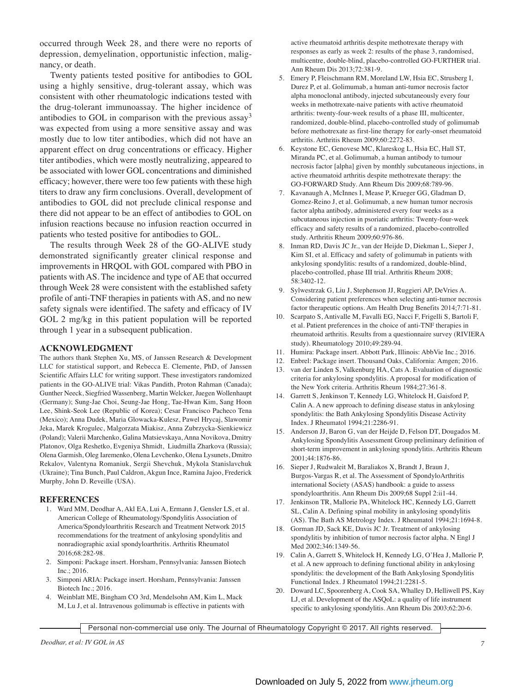occurred through Week 28, and there were no reports of depression, demyelination, opportunistic infection, malignancy, or death.

 Twenty patients tested positive for antibodies to GOL using a highly sensitive, drug-tolerant assay, which was consistent with other rheumatologic indications tested with the drug-tolerant immunoassay. The higher incidence of antibodies to GOL in comparison with the previous  $assay<sup>3</sup>$ was expected from using a more sensitive assay and was mostly due to low titer antibodies, which did not have an apparent effect on drug concentrations or efficacy. Higher titer antibodies, which were mostly neutralizing, appeared to be associated with lower GOL concentrations and diminished efficacy; however, there were too few patients with these high titers to draw any firm conclusions. Overall, development of antibodies to GOL did not preclude clinical response and there did not appear to be an effect of antibodies to GOL on infusion reactions because no infusion reaction occurred in patients who tested positive for antibodies to GOL.

 The results through Week 28 of the GO-ALIVE study demonstrated significantly greater clinical response and improvements in HRQOL with GOL compared with PBO in patients with AS. The incidence and type of AE that occurred through Week 28 were consistent with the established safety profile of anti-TNF therapies in patients with AS, and no new safety signals were identified. The safety and efficacy of IV GOL 2 mg/kg in this patient population will be reported through 1 year in a subsequent publication.

#### **ACKNOWLEDGMENT**

The authors thank Stephen Xu, MS, of Janssen Research & Development LLC for statistical support, and Rebecca E. Clemente, PhD, of Janssen Scientific Affairs LLC for writing support. These investigators randomized patients in the GO-ALIVE trial: Vikas Pandith, Proton Rahman (Canada); Gunther Neeck, Siegfried Wassenberg, Martin Welcker, Juegen Wollenhaupt (Germany); Sung-Jae Choi, Seung-Jae Hong, Tae-Hwan Kim, Sang Hoon Lee, Shink-Seok Lee (Republic of Korea); Cesar Francisco Pacheco Tena (Mexico); Anna Dudek, Maria Glowacka-Kulesz, Pawel Hrycaj, Slawomir Jeka, Marek Krogulec, Malgorzata Miakisz, Anna Zubrzycka-Sienkiewicz (Poland); Valerii Marchenko, Galina Matsievskaya, Anna Novikova, Dmitry Platonov, Olga Reshetko, Evgeniya Shmidt, Liudmilla Zharkova (Russia); Olena Garmish, Oleg Iaremenko, Olena Levchenko, Olena Lysunets, Dmitro Rekalov, Valentyna Romaniuk, Sergii Shevchuk, Mykola Stanislavchuk (Ukraine); Tina Bunch, Paul Caldron, Akgun Ince, Ramina Jajoo, Frederick Murphy, John D. Reveille (USA).

#### **REFERENCES**

- 1. Ward MM, Deodhar A, Akl EA, Lui A, Ermann J, Gensler LS, et al. American College of Rheumatology/Spondylitis Association of America/Spondyloarthritis Research and Treatment Network 2015 recommendations for the treatment of ankylosing spondylitis and nonradiographic axial spondyloarthritis. Arthritis Rheumatol 2016;68:282-98.
- 2. Simponi: Package insert. Horsham, Pennsylvania: Janssen Biotech Inc.; 2016.
- 3. Simponi ARIA: Package insert. Horsham, Pennsylvania: Janssen Biotech Inc.; 2016.
- 4. Weinblatt ME, Bingham CO 3rd, Mendelsohn AM, Kim L, Mack M, Lu J, et al. Intravenous golimumab is effective in patients with

active rheumatoid arthritis despite methotrexate therapy with responses as early as week 2: results of the phase 3, randomised, multicentre, double-blind, placebo-controlled GO-FURTHER trial. Ann Rheum Dis 2013;72:381-9.

- 5. Emery P, Fleischmann RM, Moreland LW, Hsia EC, Strusberg I, Durez P, et al. Golimumab, a human anti-tumor necrosis factor alpha monoclonal antibody, injected subcutaneously every four weeks in methotrexate-naive patients with active rheumatoid arthritis: twenty-four-week results of a phase III, multicenter, randomized, double-blind, placebo-controlled study of golimumab before methotrexate as first-line therapy for early-onset rheumatoid arthritis. Arthritis Rheum 2009;60:2272-83.
- 6. Keystone EC, Genovese MC, Klareskog L, Hsia EC, Hall ST, Miranda PC, et al. Golimumab, a human antibody to tumour necrosis factor [alpha] given by monthly subcutaneous injections, in active rheumatoid arthritis despite methotrexate therapy: the GO-FORWARD Study. Ann Rheum Dis 2009;68:789-96.
- 7. Kavanaugh A, McInnes I, Mease P, Krueger GG, Gladman D, Gomez-Reino J, et al. Golimumab, a new human tumor necrosis factor alpha antibody, administered every four weeks as a subcutaneous injection in psoriatic arthritis: Twenty-four-week efficacy and safety results of a randomized, placebo-controlled study. Arthritis Rheum 2009;60:976-86.
- 8. Inman RD, Davis JC Jr., van der Heijde D, Diekman L, Sieper J, Kim SI, et al. Efficacy and safety of golimumab in patients with ankylosing spondylitis: results of a randomized, double-blind, placebo-controlled, phase III trial. Arthritis Rheum 2008; 58:3402-12.
- 9. Sylwestrzak G, Liu J, Stephenson JJ, Ruggieri AP, DeVries A. Considering patient preferences when selecting anti-tumor necrosis factor therapeutic options. Am Health Drug Benefits 2014;7:71-81.
- 10. Scarpato S, Antivalle M, Favalli EG, Nacci F, Frigelli S, Bartoli F, et al. Patient preferences in the choice of anti-TNF therapies in rheumatoid arthritis. Results from a questionnaire survey (RIVIERA study). Rheumatology 2010;49:289-94.
- 11. Humira: Package insert. Abbott Park, Illinois: AbbVie Inc.; 2016.
- 12. Enbrel: Package insert. Thousand Oaks, California: Amgen; 2016.
- 13. van der Linden S, Valkenburg HA, Cats A. Evaluation of diagnostic criteria for ankylosing spondylitis. A proposal for modification of the New York criteria. Arthritis Rheum 1984;27:361-8.
- 14. Garrett S, Jenkinson T, Kennedy LG, Whitelock H, Gaisford P, Calin A. A new approach to defining disease status in ankylosing spondylitis: the Bath Ankylosing Spondylitis Disease Activity Index. J Rheumatol 1994;21:2286-91.
- 15. Anderson JJ, Baron G, van der Heijde D, Felson DT, Dougados M. Ankylosing Spondylitis Assessment Group preliminary definition of short-term improvement in ankylosing spondylitis. Arthritis Rheum 2001;44:1876-86.
- 16. Sieper J, Rudwaleit M, Baraliakos X, Brandt J, Braun J, Burgos-Vargas R, et al. The Assessment of SpondyloArthritis international Society (ASAS) handbook: a guide to assess spondyloarthritis. Ann Rheum Dis 2009;68 Suppl 2:ii1-44.
- 17. Jenkinson TR, Mallorie PA, Whitelock HC, Kennedy LG, Garrett SL, Calin A. Defining spinal mobility in ankylosing spondylitis (AS). The Bath AS Metrology Index. J Rheumatol 1994;21:1694-8.
- 18. Gorman JD, Sack KE, Davis JC Jr. Treatment of ankylosing spondylitis by inhibition of tumor necrosis factor alpha. N Engl J Med 2002;346:1349-56.
- 19. Calin A, Garrett S, Whitelock H, Kennedy LG, O'Hea J, Mallorie P, et al. A new approach to defining functional ability in ankylosing spondylitis: the development of the Bath Ankylosing Spondylitis Functional Index. J Rheumatol 1994;21:2281-5.
- 20. Doward LC, Spoorenberg A, Cook SA, Whalley D, Helliwell PS, Kay LJ, et al. Development of the ASQoL: a quality of life instrument specific to ankylosing spondylitis. Ann Rheum Dis 2003;62:20-6.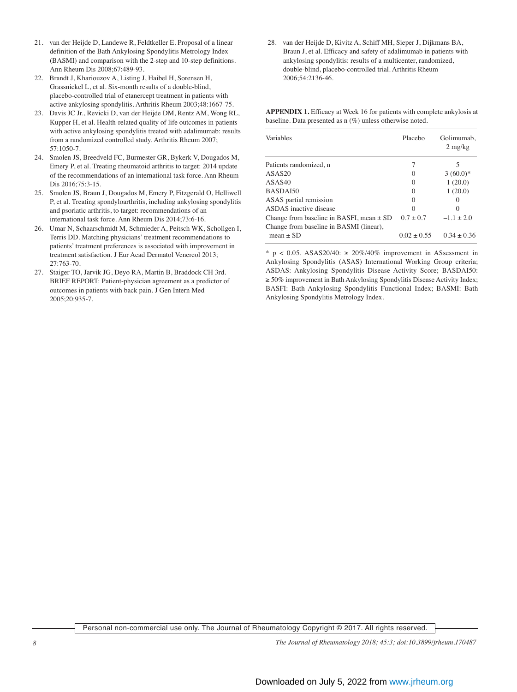- 21. van der Heijde D, Landewe R, Feldtkeller E. Proposal of a linear definition of the Bath Ankylosing Spondylitis Metrology Index (BASMI) and comparison with the 2-step and 10-step definitions. Ann Rheum Dis 2008;67:489-93.
- 22. Brandt J, Khariouzov A, Listing J, Haibel H, Sorensen H, Grassnickel L, et al. Six-month results of a double-blind, placebo-controlled trial of etanercept treatment in patients with active ankylosing spondylitis. Arthritis Rheum 2003;48:1667-75.
- 23. Davis JC Jr., Revicki D, van der Heijde DM, Rentz AM, Wong RL, Kupper H, et al. Health-related quality of life outcomes in patients with active ankylosing spondylitis treated with adalimumab: results from a randomized controlled study. Arthritis Rheum 2007; 57:1050-7.
- 24. Smolen JS, Breedveld FC, Burmester GR, Bykerk V, Dougados M, Emery P, et al. Treating rheumatoid arthritis to target: 2014 update of the recommendations of an international task force. Ann Rheum Dis 2016;75:3-15.
- 25. Smolen JS, Braun J, Dougados M, Emery P, Fitzgerald O, Helliwell P, et al. Treating spondyloarthritis, including ankylosing spondylitis and psoriatic arthritis, to target: recommendations of an international task force. Ann Rheum Dis 2014;73:6-16.
- 26. Umar N, Schaarschmidt M, Schmieder A, Peitsch WK, Schollgen I, Terris DD. Matching physicians' treatment recommendations to patients' treatment preferences is associated with improvement in treatment satisfaction. J Eur Acad Dermatol Venereol 2013; 27:763-70.
- 27. Staiger TO, Jarvik JG, Deyo RA, Martin B, Braddock CH 3rd. BRIEF REPORT: Patient-physician agreement as a predictor of outcomes in patients with back pain. J Gen Intern Med 2005;20:935-7.

 28. van der Heijde D, Kivitz A, Schiff MH, Sieper J, Dijkmans BA, Braun J, et al. Efficacy and safety of adalimumab in patients with ankylosing spondylitis: results of a multicenter, randomized, double-blind, placebo-controlled trial. Arthritis Rheum 2006;54:2136-46.

**APPENDIX 1.** Efficacy at Week 16 for patients with complete ankylosis at baseline. Data presented as n (%) unless otherwise noted.

| Variables                                    | Placebo          | Golimumab,<br>$2 \frac{\text{mg}}{\text{kg}}$ |
|----------------------------------------------|------------------|-----------------------------------------------|
| Patients randomized, n                       |                  | 5                                             |
| ASAS20                                       | $\left( \right)$ | $3(60.0)*$                                    |
| ASAS40                                       | $\left( \right)$ | 1(20.0)                                       |
| BASDAI50                                     | $\left( \right)$ | 1(20.0)                                       |
| ASAS partial remission                       | $\left( \right)$ |                                               |
| ASDAS inactive disease                       |                  |                                               |
| Change from baseline in BASFI, mean $\pm$ SD | $0.7 \pm 0.7$    | $-1.1 \pm 2.0$                                |
| Change from baseline in BASMI (linear),      |                  |                                               |
| mean $\pm$ SD                                | $-0.02 \pm 0.55$ | $-0.34 \pm 0.36$                              |

\* p < 0.05. ASAS20/40:  $\geq 20\%/40\%$  improvement in ASsessment in Ankylosing Spondylitis (ASAS) International Working Group criteria; ASDAS: Ankylosing Spondylitis Disease Activity Score; BASDAI50: ≥ 50% improvement in Bath Ankylosing Spondylitis Disease Activity Index; BASFI: Bath Ankylosing Spondylitis Functional Index; BASMI: Bath Ankylosing Spondylitis Metrology Index.